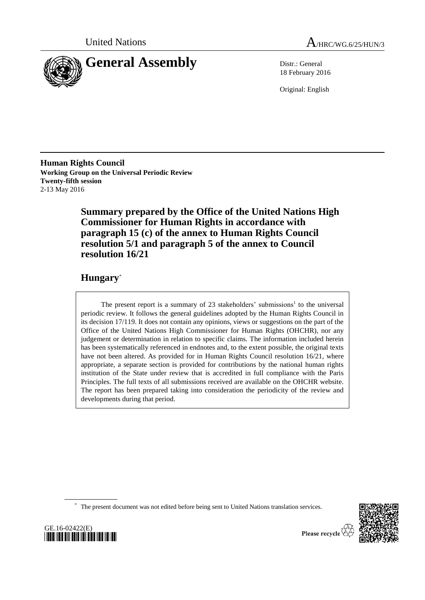



18 February 2016

Original: English

**Human Rights Council Working Group on the Universal Periodic Review Twenty-fifth session** 2-13 May 2016

> **Summary prepared by the Office of the United Nations High Commissioner for Human Rights in accordance with paragraph 15 (c) of the annex to Human Rights Council resolution 5/1 and paragraph 5 of the annex to Council resolution 16/21**

# **Hungary**\*

The present report is a summary of  $23$  stakeholders' submissions<sup>1</sup> to the universal periodic review. It follows the general guidelines adopted by the Human Rights Council in its decision 17/119. It does not contain any opinions, views or suggestions on the part of the Office of the United Nations High Commissioner for Human Rights (OHCHR), nor any judgement or determination in relation to specific claims. The information included herein has been systematically referenced in endnotes and, to the extent possible, the original texts have not been altered. As provided for in Human Rights Council resolution 16/21, where appropriate, a separate section is provided for contributions by the national human rights institution of the State under review that is accredited in full compliance with the Paris Principles. The full texts of all submissions received are available on the OHCHR website. The report has been prepared taking into consideration the periodicity of the review and developments during that period.

\* The present document was not edited before being sent to United Nations translation services.



GE.16-02422(E) *\*1602422\**

Please recycle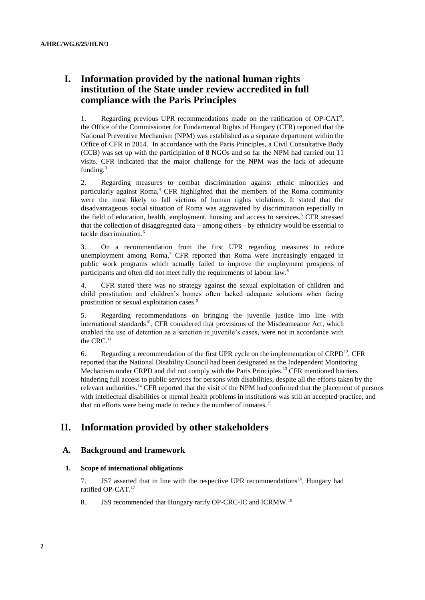# **I. Information provided by the national human rights institution of the State under review accredited in full compliance with the Paris Principles**

1. Regarding previous UPR recommendations made on the ratification of  $OP-CAT<sup>2</sup>$ , the Office of the Commissioner for Fundamental Rights of Hungary (CFR) reported that the National Preventive Mechanism (NPM) was established as a separate department within the Office of CFR in 2014. In accordance with the Paris Principles, a Civil Consultative Body (CCB) was set up with the participation of 8 NGOs and so far the NPM had carried out 11 visits. CFR indicated that the major challenge for the NPM was the lack of adequate funding. $3$ 

2. Regarding measures to combat discrimination against ethnic minorities and particularly against Roma, <sup>4</sup> CFR highlighted that the members of the Roma community were the most likely to fall victims of human rights violations. It stated that the disadvantageous social situation of Roma was aggravated by discrimination especially in the field of education, health, employment, housing and access to services. <sup>5</sup> CFR stressed that the collection of disaggregated data – among others - by ethnicity would be essential to tackle discrimination.<sup>6</sup>

3. On a recommendation from the first UPR regarding measures to reduce unemployment among  $Roma<sup>7</sup>$  CFR reported that Roma were increasingly engaged in public work programs which actually failed to improve the employment prospects of participants and often did not meet fully the requirements of labour law.<sup>8</sup>

4. CFR stated there was no strategy against the sexual exploitation of children and child prostitution and children's homes often lacked adequate solutions when facing prostitution or sexual exploitation cases.<sup>9</sup>

5. Regarding recommendations on bringing the juvenile justice into line with international standards<sup>10</sup>, CFR considered that provisions of the Misdeameanor Act, which enabled the use of detention as a sanction in juvenile's cases, were not in accordance with the CRC $<sup>11</sup>$ </sup>

6. Regarding a recommendation of the first UPR cycle on the implementation of CRPD<sup>12</sup>, CFR reported that the National Disability Council had been designated as the Independent Monitoring Mechanism under CRPD and did not comply with the Paris Principles.<sup>13</sup> CFR mentioned barriers hindering full access to public services for persons with disabilities, despite all the efforts taken by the relevant authorities.<sup>14</sup> CFR reported that the visit of the NPM had confirmed that the placement of persons with intellectual disabilities or mental health problems in institutions was still an accepted practice, and that no efforts were being made to reduce the number of inmates.<sup>15</sup>

# **II. Information provided by other stakeholders**

### **A. Background and framework**

#### **1. Scope of international obligations**

7. JS7 asserted that in line with the respective UPR recommendations<sup>16</sup>, Hungary had ratified OP-CAT.<sup>17</sup>

8. JS9 recommended that Hungary ratify OP-CRC-IC and ICRMW.<sup>18</sup>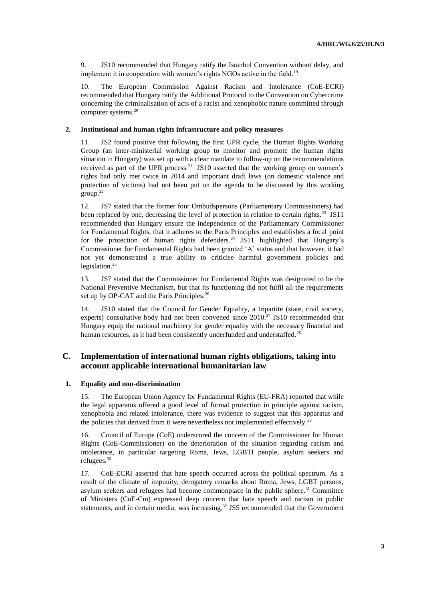9. JS10 recommended that Hungary ratify the Istanbul Convention without delay, and implement it in cooperation with women's rights NGOs active in the field.<sup>19</sup>

10. The European Commission Against Racism and Intolerance (CoE-ECRI) recommended that Hungary ratify the Additional Protocol to the Convention on Cybercrime concerning the criminalisation of acts of a racist and xenophobic nature committed through computer systems.<sup>20</sup>

#### **2. Institutional and human rights infrastructure and policy measures**

11. JS2 found positive that following the first UPR cycle, the Human Rights Working Group (an inter-ministerial working group to monitor and promote the human rights situation in Hungary) was set up with a clear mandate to follow-up on the recommendations received as part of the UPR process.<sup>21</sup> JS10 asserted that the working group on women's rights had only met twice in 2014 and important draft laws (on domestic violence and protection of victims) had not been put on the agenda to be discussed by this working group.<sup>22</sup>

12. JS7 stated that the former four Ombudspersons (Parliamentary Commissioners) had been replaced by one, decreasing the level of protection in relation to certain rights.<sup>23</sup> JS11 recommended that Hungary ensure the independence of the Parliamentary Commissioner for Fundamental Rights, that it adheres to the Paris Principles and establishes a focal point for the protection of human rights defenders.<sup>24</sup> JS11 highlighted that Hungary's Commissioner for Fundamental Rights had been granted 'A' status and that however, it had not yet demonstrated a true ability to criticise harmful government policies and legislation. $^{25}$ 

13. JS7 stated that the Commissioner for Fundamental Rights was designated to be the National Preventive Mechanism, but that its functioning did not fulfil all the requirements set up by OP-CAT and the Paris Principles.<sup>26</sup>

14. JS10 stated that the Council for Gender Equality, a tripartite (state, civil society, experts) consultative body had not been convened since  $2010<sup>27</sup>$  JS10 recommended that Hungary equip the national machinery for gender equality with the necessary financial and human resources, as it had been consistently underfunded and understaffed.<sup>28</sup>

## **C. Implementation of international human rights obligations, taking into account applicable international humanitarian law**

#### **1. Equality and non-discrimination**

15. The European Union Agency for Fundamental Rights (EU-FRA) reported that while the legal apparatus offered a good level of formal protection in principle against racism, xenophobia and related intolerance, there was evidence to suggest that this apparatus and the policies that derived from it were nevertheless not implemented effectively.<sup>2</sup>

16. Council of Europe (CoE) underscored the concern of the Commissioner for Human Rights (CoE-Commissioner) on the deterioration of the situation regarding racism and intolerance, in particular targeting Roma, Jews, LGBTI people, asylum seekers and refugees. 30

17. CoE-ECRI asserted that hate speech occurred across the political spectrum. As a result of the climate of impunity, derogatory remarks about Roma, Jews, LGBT persons, asylum seekers and refugees had become commonplace in the public sphere.<sup>31</sup> Committee of Ministers (CoE-Cm) expressed deep concern that hate speech and racism in public statements, and in certain media, was increasing.<sup>32</sup> JS5 recommended that the Government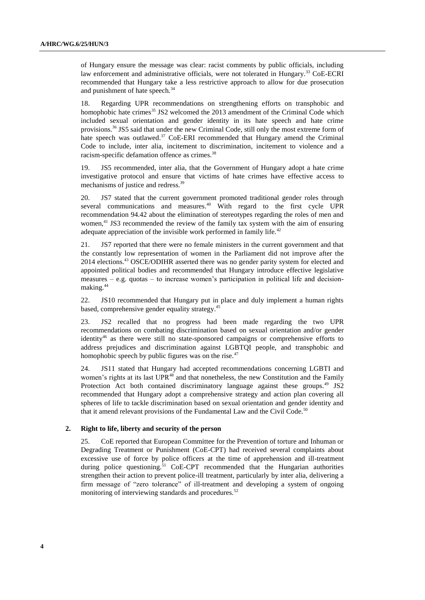of Hungary ensure the message was clear: racist comments by public officials, including law enforcement and administrative officials, were not tolerated in Hungary.<sup>33</sup> CoE-ECRI recommended that Hungary take a less restrictive approach to allow for due prosecution and punishment of hate speech.<sup>34</sup>

18. Regarding UPR recommendations on strengthening efforts on transphobic and homophobic hate crimes<sup>35</sup> JS2 welcomed the 2013 amendment of the Criminal Code which included sexual orientation and gender identity in its hate speech and hate crime provisions.<sup>36</sup> JS5 said that under the new Criminal Code, still only the most extreme form of hate speech was outlawed.<sup>37</sup> CoE-ERI recommended that Hungary amend the Criminal Code to include, inter alia, incitement to discrimination, incitement to violence and a racism-specific defamation offence as crimes. 38

19. JS5 recommended, inter alia, that the Government of Hungary adopt a hate crime investigative protocol and ensure that victims of hate crimes have effective access to mechanisms of justice and redress.<sup>39</sup>

20. JS7 stated that the current government promoted traditional gender roles through several communications and measures. $40$  With regard to the first cycle UPR recommendation 94.42 about the elimination of stereotypes regarding the roles of men and women,<sup>41</sup> JS3 recommended the review of the family tax system with the aim of ensuring adequate appreciation of the invisible work performed in family life.<sup>42</sup>

21. JS7 reported that there were no female ministers in the current government and that the constantly low representation of women in the Parliament did not improve after the 2014 elections.<sup>43</sup> OSCE/ODIHR asserted there was no gender parity system for elected and appointed political bodies and recommended that Hungary introduce effective legislative measures – e.g. quotas – to increase women's participation in political life and decisionmaking. 44

22. JS10 recommended that Hungary put in place and duly implement a human rights based, comprehensive gender equality strategy.<sup>45</sup>

23. JS2 recalled that no progress had been made regarding the two UPR recommendations on combating discrimination based on sexual orientation and/or gender identity<sup>46</sup> as there were still no state-sponsored campaigns or comprehensive efforts to address prejudices and discrimination against LGBTQI people, and transphobic and homophobic speech by public figures was on the rise. $47$ 

24. JS11 stated that Hungary had accepted recommendations concerning LGBTI and women's rights at its last UPR<sup>48</sup> and that nonetheless, the new Constitution and the Family Protection Act both contained discriminatory language against these groups.<sup>49</sup> JS2 recommended that Hungary adopt a comprehensive strategy and action plan covering all spheres of life to tackle discrimination based on sexual orientation and gender identity and that it amend relevant provisions of the Fundamental Law and the Civil Code.<sup>50</sup>

#### **2. Right to life, liberty and security of the person**

25. CoE reported that European Committee for the Prevention of torture and Inhuman or Degrading Treatment or Punishment (CoE-CPT) had received several complaints about excessive use of force by police officers at the time of apprehension and ill-treatment during police questioning.<sup>51</sup> CoE-CPT recommended that the Hungarian authorities strengthen their action to prevent police-ill treatment, particularly by inter alia, delivering a firm message of "zero tolerance" of ill-treatment and developing a system of ongoing monitoring of interviewing standards and procedures.<sup>52</sup>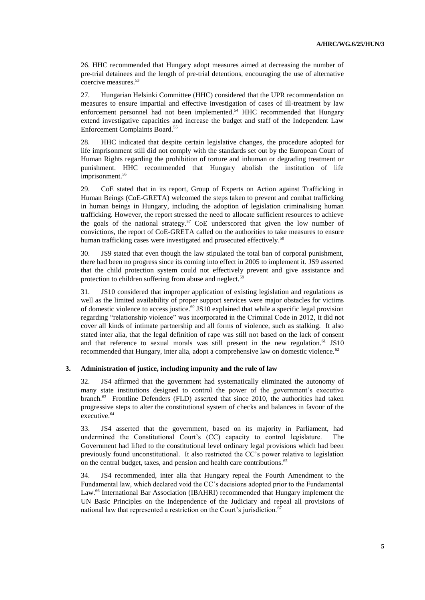26. HHC recommended that Hungary adopt measures aimed at decreasing the number of pre-trial detainees and the length of pre-trial detentions, encouraging the use of alternative coercive measures. 53

27. Hungarian Helsinki Committee (HHC) considered that the UPR recommendation on measures to ensure impartial and effective investigation of cases of ill-treatment by law enforcement personnel had not been implemented.<sup>54</sup> HHC recommended that Hungary extend investigative capacities and increase the budget and staff of the Independent Law Enforcement Complaints Board.<sup>55</sup>

28. HHC indicated that despite certain legislative changes, the procedure adopted for life imprisonment still did not comply with the standards set out by the European Court of Human Rights regarding the prohibition of torture and inhuman or degrading treatment or punishment. HHC recommended that Hungary abolish the institution of life imprisonment. 56

29. CoE stated that in its report, Group of Experts on Action against Trafficking in Human Beings (CoE-GRETA) welcomed the steps taken to prevent and combat trafficking in human beings in Hungary, including the adoption of legislation criminalising human trafficking. However, the report stressed the need to allocate sufficient resources to achieve the goals of the national strategy.<sup>57</sup> CoE underscored that given the low number of convictions, the report of CoE-GRETA called on the authorities to take measures to ensure human trafficking cases were investigated and prosecuted effectively.<sup>58</sup>

30. JS9 stated that even though the law stipulated the total ban of corporal punishment, there had been no progress since its coming into effect in 2005 to implement it. JS9 asserted that the child protection system could not effectively prevent and give assistance and protection to children suffering from abuse and neglect.<sup>59</sup>

31. JS10 considered that improper application of existing legislation and regulations as well as the limited availability of proper support services were major obstacles for victims of domestic violence to access justice.<sup>60</sup> JS10 explained that while a specific legal provision regarding "relationship violence" was incorporated in the Criminal Code in 2012, it did not cover all kinds of intimate partnership and all forms of violence, such as stalking. It also stated inter alia, that the legal definition of rape was still not based on the lack of consent and that reference to sexual morals was still present in the new regulation.<sup>61</sup> JS10 recommended that Hungary, inter alia, adopt a comprehensive law on domestic violence.<sup>62</sup>

#### **3. Administration of justice, including impunity and the rule of law**

32. JS4 affirmed that the government had systematically eliminated the autonomy of many state institutions designed to control the power of the government's executive branch.<sup>63</sup> Frontline Defenders (FLD) asserted that since 2010, the authorities had taken progressive steps to alter the constitutional system of checks and balances in favour of the executive.<sup>64</sup>

33. JS4 asserted that the government, based on its majority in Parliament, had undermined the Constitutional Court's (CC) capacity to control legislature. The Government had lifted to the constitutional level ordinary legal provisions which had been previously found unconstitutional. It also restricted the CC's power relative to legislation on the central budget, taxes, and pension and health care contributions. 65

34. JS4 recommended, inter alia that Hungary repeal the Fourth Amendment to the Fundamental law, which declared void the CC's decisions adopted prior to the Fundamental Law.<sup>66</sup> International Bar Association (IBAHRI) recommended that Hungary implement the UN Basic Principles on the Independence of the Judiciary and repeal all provisions of national law that represented a restriction on the Court's jurisdiction.<sup>67</sup>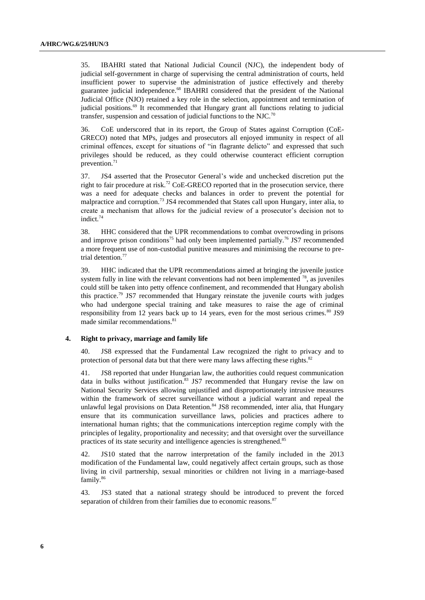35. IBAHRI stated that National Judicial Council (NJC), the independent body of judicial self-government in charge of supervising the central administration of courts, held insufficient power to supervise the administration of justice effectively and thereby guarantee judicial independence.<sup>68</sup> IBAHRI considered that the president of the National Judicial Office (NJO) retained a key role in the selection, appointment and termination of judicial positions.<sup>69</sup> It recommended that Hungary grant all functions relating to judicial transfer, suspension and cessation of judicial functions to the NJC.<sup>70</sup>

36. CoE underscored that in its report, the Group of States against Corruption (CoE-GRECO) noted that MPs, judges and prosecutors all enjoyed immunity in respect of all criminal offences, except for situations of "in flagrante delicto" and expressed that such privileges should be reduced, as they could otherwise counteract efficient corruption prevention.<sup>71</sup>

37. JS4 asserted that the Prosecutor General's wide and unchecked discretion put the right to fair procedure at risk.<sup>72</sup> CoE-GRECO reported that in the prosecution service, there was a need for adequate checks and balances in order to prevent the potential for malpractice and corruption.<sup>73</sup> JS4 recommended that States call upon Hungary, inter alia, to create a mechanism that allows for the judicial review of a prosecutor's decision not to indict. 74

38. HHC considered that the UPR recommendations to combat overcrowding in prisons and improve prison conditions<sup>75</sup> had only been implemented partially.<sup>76</sup> JS7 recommended a more frequent use of non-custodial punitive measures and minimising the recourse to pretrial detention.<sup>77</sup>

39. HHC indicated that the UPR recommendations aimed at bringing the juvenile justice system fully in line with the relevant conventions had not been implemented  $^{78}$ , as juveniles could still be taken into petty offence confinement, and recommended that Hungary abolish this practice.<sup>79</sup> JS7 recommended that Hungary reinstate the juvenile courts with judges who had undergone special training and take measures to raise the age of criminal responsibility from 12 years back up to 14 years, even for the most serious crimes. $80$  JS9 made similar recommendations. 81

#### **4. Right to privacy, marriage and family life**

40. JS8 expressed that the Fundamental Law recognized the right to privacy and to protection of personal data but that there were many laws affecting these rights.<sup>82</sup>

41. JS8 reported that under Hungarian law, the authorities could request communication data in bulks without justification.<sup>83</sup> JS7 recommended that Hungary revise the law on National Security Services allowing unjustified and disproportionately intrusive measures within the framework of secret surveillance without a judicial warrant and repeal the unlawful legal provisions on Data Retention.<sup>84</sup> JS8 recommended, inter alia, that Hungary ensure that its communication surveillance laws, policies and practices adhere to international human rights; that the communications interception regime comply with the principles of legality, proportionality and necessity; and that oversight over the surveillance practices of its state security and intelligence agencies is strengthened.<sup>85</sup>

42. JS10 stated that the narrow interpretation of the family included in the 2013 modification of the Fundamental law, could negatively affect certain groups, such as those living in civil partnership, sexual minorities or children not living in a marriage-based family. 86

43. JS3 stated that a national strategy should be introduced to prevent the forced separation of children from their families due to economic reasons.<sup>87</sup>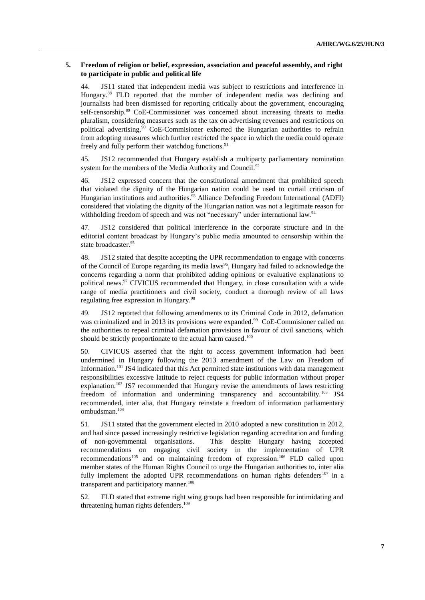### **5. Freedom of religion or belief, expression, association and peaceful assembly, and right to participate in public and political life**

44. JS11 stated that independent media was subject to restrictions and interference in Hungary.<sup>88</sup> FLD reported that the number of independent media was declining and journalists had been dismissed for reporting critically about the government, encouraging self-censorship.<sup>89</sup> CoE-Commissioner was concerned about increasing threats to media pluralism, considering measures such as the tax on advertising revenues and restrictions on political advertising.<sup>90</sup> CoE-Commisioner exhorted the Hungarian authorities to refrain from adopting measures which further restricted the space in which the media could operate freely and fully perform their watchdog functions.<sup>91</sup>

45. JS12 recommended that Hungary establish a multiparty parliamentary nomination system for the members of the Media Authority and Council.<sup>92</sup>

46. JS12 expressed concern that the constitutional amendment that prohibited speech that violated the dignity of the Hungarian nation could be used to curtail criticism of Hungarian institutions and authorities.<sup>93</sup> Alliance Defending Freedom International (ADFI) considered that violating the dignity of the Hungarian nation was not a legitimate reason for withholding freedom of speech and was not "necessary" under international law.<sup>94</sup>

47. JS12 considered that political interference in the corporate structure and in the editorial content broadcast by Hungary's public media amounted to censorship within the state broadcaster.<sup>95</sup>

48. JS12 stated that despite accepting the UPR recommendation to engage with concerns of the Council of Europe regarding its media laws<sup>96</sup>, Hungary had failed to acknowledge the concerns regarding a norm that prohibited adding opinions or evaluative explanations to political news.<sup>97</sup> CIVICUS recommended that Hungary, in close consultation with a wide range of media practitioners and civil society, conduct a thorough review of all laws regulating free expression in Hungary.<sup>98</sup>

49. JS12 reported that following amendments to its Criminal Code in 2012, defamation was criminalized and in 2013 its provisions were expanded.<sup>99</sup> CoE-Commisioner called on the authorities to repeal criminal defamation provisions in favour of civil sanctions, which should be strictly proportionate to the actual harm caused.<sup>100</sup>

50. CIVICUS asserted that the right to access government information had been undermined in Hungary following the 2013 amendment of the Law on Freedom of Information.<sup>101</sup> JS4 indicated that this Act permitted state institutions with data management responsibilities excessive latitude to reject requests for public information without proper explanation.<sup>102</sup> JS7 recommended that Hungary revise the amendments of laws restricting freedom of information and undermining transparency and accountability.<sup>103</sup> JS4 recommended, inter alia, that Hungary reinstate a freedom of information parliamentary ombudsman. 104

51. JS11 stated that the government elected in 2010 adopted a new constitution in 2012, and had since passed increasingly restrictive legislation regarding accreditation and funding of non-governmental organisations. This despite Hungary having accepted recommendations on engaging civil society in the implementation of UPR recommendations<sup>105</sup> and on maintaining freedom of expression.<sup>106</sup> FLD called upon member states of the Human Rights Council to urge the Hungarian authorities to, inter alia fully implement the adopted UPR recommendations on human rights defenders<sup>107</sup> in a transparent and participatory manner.<sup>108</sup>

52. FLD stated that extreme right wing groups had been responsible for intimidating and threatening human rights defenders. 109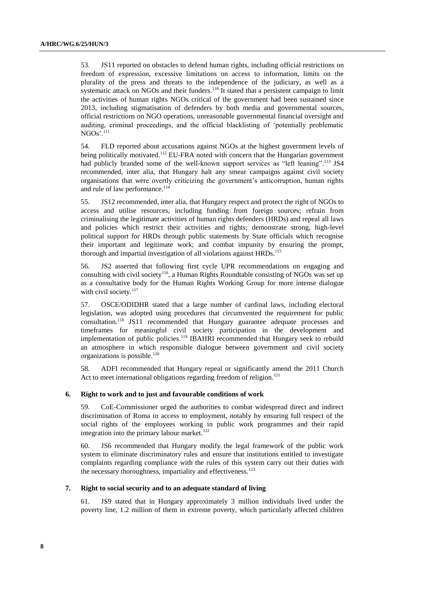53. JS11 reported on obstacles to defend human rights, including official restrictions on freedom of expression, excessive limitations on access to information, limits on the plurality of the press and threats to the independence of the judiciary, as well as a systematic attack on NGOs and their funders.<sup>110</sup> It stated that a persistent campaign to limit the activities of human rights NGOs critical of the government had been sustained since 2013, including stigmatisation of defenders by both media and governmental sources, official restrictions on NGO operations, unreasonable governmental financial oversight and auditing, criminal proceedings, and the official blacklisting of 'potentially problematic NGOs'.<sup>111</sup>

54. FLD reported about accusations against NGOs at the highest government levels of being politically motivated.<sup>112</sup> EU-FRA noted with concern that the Hungarian government had publicly branded some of the well-known support services as "left leaning".<sup>113</sup> JS4 recommended, inter alia, that Hungary halt any smear campaigns against civil society organisations that were overtly criticizing the government's anticorruption, human rights and rule of law performance.<sup>114</sup>

55. JS12 recommended, inter alia, that Hungary respect and protect the right of NGOs to access and utilise resources, including funding from foreign sources; refrain from criminalising the legitimate activities of human rights defenders (HRDs) and repeal all laws and policies which restrict their activities and rights; demonstrate strong, high-level political support for HRDs through public statements by State officials which recognise their important and legitimate work; and combat impunity by ensuring the prompt, thorough and impartial investigation of all violations against HRDs.<sup>115</sup>

56. JS2 asserted that following first cycle UPR recommendations on engaging and consulting with civil society<sup>116</sup>, a Human Rights Roundtable consisting of NGOs was set up as a consultative body for the Human Rights Working Group for more intense dialogue with civil society.<sup>117</sup>

57. OSCE/ODIDHR stated that a large number of cardinal laws, including electoral legislation, was adopted using procedures that circumvented the requirement for public consultation.<sup>118</sup> JS11 recommended that Hungary guarantee adequate processes and timeframes for meaningful civil society participation in the development and implementation of public policies.<sup>119</sup> IBAHRI recommended that Hungary seek to rebuild an atmosphere in which responsible dialogue between government and civil society organizations is possible. $120$ 

58. ADFI recommended that Hungary repeal or significantly amend the 2011 Church Act to meet international obligations regarding freedom of religion.<sup>121</sup>

### **6. Right to work and to just and favourable conditions of work**

59. CoE-Commissioner urged the authorities to combat widespread direct and indirect discrimination of Roma in access to employment, notably by ensuring full respect of the social rights of the employees working in public work programmes and their rapid integration into the primary labour market.<sup>122</sup>

60. JS6 recommended that Hungary modify the legal framework of the public work system to eliminate discriminatory rules and ensure that institutions entitled to investigate complaints regarding compliance with the rules of this system carry out their duties with the necessary thoroughness, impartiality and effectiveness.<sup>123</sup>

#### **7. Right to social security and to an adequate standard of living**

61. JS9 stated that in Hungary approximately 3 million individuals lived under the poverty line, 1.2 million of them in extreme poverty, which particularly affected children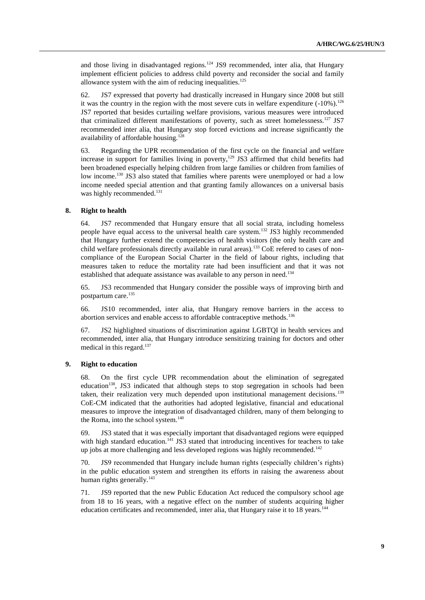and those living in disadvantaged regions.<sup>124</sup> JS9 recommended, inter alia, that Hungary implement efficient policies to address child poverty and reconsider the social and family allowance system with the aim of reducing inequalities. $125$ 

62. JS7 expressed that poverty had drastically increased in Hungary since 2008 but still it was the country in the region with the most severe cuts in welfare expenditure  $(-10\%)$ .<sup>126</sup> JS7 reported that besides curtailing welfare provisions, various measures were introduced that criminalized different manifestations of poverty, such as street homelessness.<sup>127</sup> JS7 recommended inter alia, that Hungary stop forced evictions and increase significantly the availability of affordable housing.<sup>128</sup>

63. Regarding the UPR recommendation of the first cycle on the financial and welfare increase in support for families living in poverty, $129$  JS3 affirmed that child benefits had been broadened especially helping children from large families or children from families of low income.<sup>130</sup> JS3 also stated that families where parents were unemployed or had a low income needed special attention and that granting family allowances on a universal basis was highly recommended.<sup>131</sup>

#### **8. Right to health**

64. JS7 recommended that Hungary ensure that all social strata, including homeless people have equal access to the universal health care system.<sup>132</sup> JS3 highly recommended that Hungary further extend the competencies of health visitors (the only health care and child welfare professionals directly available in rural areas).<sup>133</sup> CoE refered to cases of noncompliance of the European Social Charter in the field of labour rights, including that measures taken to reduce the mortality rate had been insufficient and that it was not established that adequate assistance was available to any person in need.<sup>134</sup>

65. JS3 recommended that Hungary consider the possible ways of improving birth and postpartum care. 135

66. JS10 recommended, inter alia, that Hungary remove barriers in the access to abortion services and enable access to affordable contraceptive methods.<sup>136</sup>

67. JS2 highlighted situations of discrimination against LGBTQI in health services and recommended, inter alia, that Hungary introduce sensitizing training for doctors and other medical in this regard. 137

### **9. Right to education**

68. On the first cycle UPR recommendation about the elimination of segregated education<sup>138</sup>, JS3 indicated that although steps to stop segregation in schools had been taken, their realization very much depended upon institutional management decisions.<sup>139</sup> CoE-CM indicated that the authorities had adopted legislative, financial and educational measures to improve the integration of disadvantaged children, many of them belonging to the Roma, into the school system. $140$ 

69. JS3 stated that it was especially important that disadvantaged regions were equipped with high standard education.<sup>141</sup> JS3 stated that introducing incentives for teachers to take up jobs at more challenging and less developed regions was highly recommended.<sup>142</sup>

70. JS9 recommended that Hungary include human rights (especially children's rights) in the public education system and strengthen its efforts in raising the awareness about human rights generally.<sup>143</sup>

71. JS9 reported that the new Public Education Act reduced the compulsory school age from 18 to 16 years, with a negative effect on the number of students acquiring higher education certificates and recommended, inter alia, that Hungary raise it to 18 years.<sup>144</sup>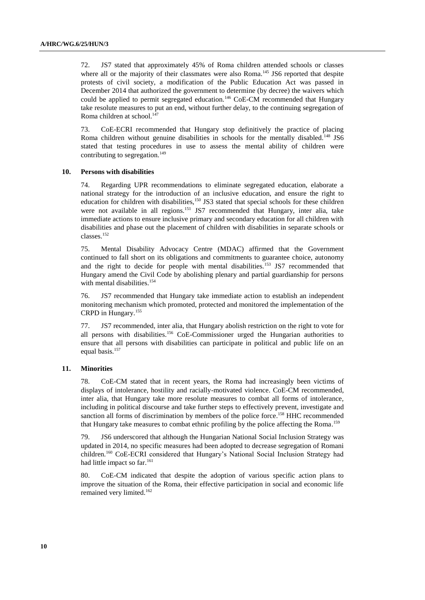72. JS7 stated that approximately 45% of Roma children attended schools or classes where all or the majority of their classmates were also Roma.<sup>145</sup> JS6 reported that despite protests of civil society, a modification of the Public Education Act was passed in December 2014 that authorized the government to determine (by decree) the waivers which could be applied to permit segregated education.<sup>146</sup> CoE-CM recommended that Hungary take resolute measures to put an end, without further delay, to the continuing segregation of Roma children at school. 147

73. CoE-ECRI recommended that Hungary stop definitively the practice of placing Roma children without genuine disabilities in schools for the mentally disabled.<sup>148</sup> JS6 stated that testing procedures in use to assess the mental ability of children were contributing to segregation.<sup>149</sup>

#### **10. Persons with disabilities**

74. Regarding UPR recommendations to eliminate segregated education, elaborate a national strategy for the introduction of an inclusive education, and ensure the right to education for children with disabilities,<sup>150</sup> JS3 stated that special schools for these children were not available in all regions.<sup>151</sup> JS7 recommended that Hungary, inter alia, take immediate actions to ensure inclusive primary and secondary education for all children with disabilities and phase out the placement of children with disabilities in separate schools or classes.<sup>152</sup>

75. Mental Disability Advocacy Centre (MDAC) affirmed that the Government continued to fall short on its obligations and commitments to guarantee choice, autonomy and the right to decide for people with mental disabilities.<sup>153</sup> JS7 recommended that Hungary amend the Civil Code by abolishing plenary and partial guardianship for persons with mental disabilities.<sup>154</sup>

76. JS7 recommended that Hungary take immediate action to establish an independent monitoring mechanism which promoted, protected and monitored the implementation of the CRPD in Hungary.<sup>155</sup>

77. JS7 recommended, inter alia, that Hungary abolish restriction on the right to vote for all persons with disabilities.<sup>156</sup> CoE-Commissioner urged the Hungarian authorities to ensure that all persons with disabilities can participate in political and public life on an equal basis.<sup>157</sup>

#### **11. Minorities**

78. CoE-CM stated that in recent years, the Roma had increasingly been victims of displays of intolerance, hostility and racially-motivated violence. CoE-CM recommended, inter alia, that Hungary take more resolute measures to combat all forms of intolerance, including in political discourse and take further steps to effectively prevent, investigate and sanction all forms of discrimination by members of the police force. <sup>158</sup> HHC recommended that Hungary take measures to combat ethnic profiling by the police affecting the Roma.<sup>159</sup>

79. JS6 underscored that although the Hungarian National Social Inclusion Strategy was updated in 2014, no specific measures had been adopted to decrease segregation of Romani children. <sup>160</sup> CoE-ECRI considered that Hungary's National Social Inclusion Strategy had had little impact so far.<sup>161</sup>

80. CoE-CM indicated that despite the adoption of various specific action plans to improve the situation of the Roma, their effective participation in social and economic life remained very limited.<sup>162</sup>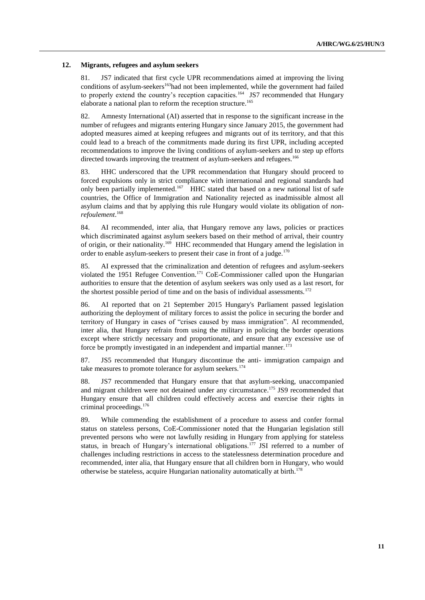#### **12. Migrants, refugees and asylum seekers**

81. JS7 indicated that first cycle UPR recommendations aimed at improving the living conditions of asylum-seekers<sup>163</sup>had not been implemented, while the government had failed to properly extend the country's reception capacities.<sup>164</sup> JS7 recommended that Hungary elaborate a national plan to reform the reception structure.<sup>165</sup>

82. Amnesty International (AI) asserted that in response to the significant increase in the number of refugees and migrants entering Hungary since January 2015, the government had adopted measures aimed at keeping refugees and migrants out of its territory, and that this could lead to a breach of the commitments made during its first UPR, including accepted recommendations to improve the living conditions of asylum-seekers and to step up efforts directed towards improving the treatment of asylum-seekers and refugees.<sup>166</sup>

83. HHC underscored that the UPR recommendation that Hungary should proceed to forced expulsions only in strict compliance with international and regional standards had only been partially implemented.<sup>167</sup> HHC stated that based on a new national list of safe countries, the Office of Immigration and Nationality rejected as inadmissible almost all asylum claims and that by applying this rule Hungary would violate its obligation of *nonrefoulement*. 168

84. AI recommended, inter alia, that Hungary remove any laws, policies or practices which discriminated against asylum seekers based on their method of arrival, their country of origin, or their nationality.<sup>169</sup> HHC recommended that Hungary amend the legislation in order to enable asylum-seekers to present their case in front of a judge.<sup>170</sup>

85. AI expressed that the criminalization and detention of refugees and asylum-seekers violated the 1951 Refugee Convention.<sup>171</sup> CoE-Commissioner called upon the Hungarian authorities to ensure that the detention of asylum seekers was only used as a last resort, for the shortest possible period of time and on the basis of individual assessments.<sup>172</sup>

86. AI reported that on 21 September 2015 Hungary's Parliament passed legislation authorizing the deployment of military forces to assist the police in securing the border and territory of Hungary in cases of "crises caused by mass immigration". AI recommended, inter alia, that Hungary refrain from using the military in policing the border operations except where strictly necessary and proportionate, and ensure that any excessive use of force be promptly investigated in an independent and impartial manner.<sup>173</sup>

87. JS5 recommended that Hungary discontinue the anti- immigration campaign and take measures to promote tolerance for asylum seekers.<sup>174</sup>

88. JS7 recommended that Hungary ensure that that asylum-seeking, unaccompanied and migrant children were not detained under any circumstance.<sup>175</sup> JS9 recommended that Hungary ensure that all children could effectively access and exercise their rights in criminal proceedings. 176

89. While commending the establishment of a procedure to assess and confer formal status on stateless persons, CoE-Commissioner noted that the Hungarian legislation still prevented persons who were not lawfully residing in Hungary from applying for stateless status, in breach of Hungary's international obligations.<sup>177</sup> JSI referred to a number of challenges including restrictions in access to the statelessness determination procedure and recommended, inter alia, that Hungary ensure that all children born in Hungary, who would otherwise be stateless, acquire Hungarian nationality automatically at birth.<sup>178</sup>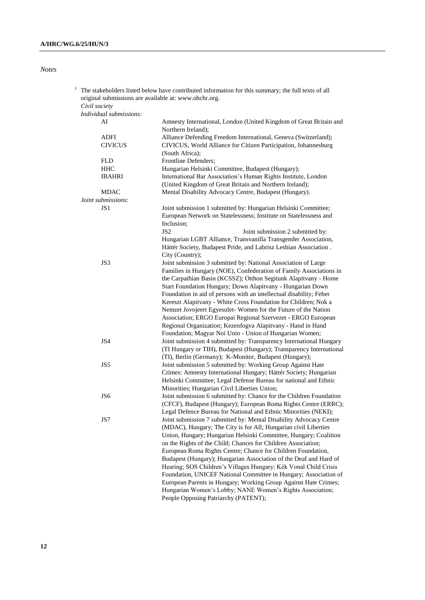*Notes*

|  | original submissions are available at: www.ohchr.org. | The stakeholders listed below have contributed information for this summary; the full texts of all                                   |
|--|-------------------------------------------------------|--------------------------------------------------------------------------------------------------------------------------------------|
|  | Civil society                                         |                                                                                                                                      |
|  | Individual submissions:                               |                                                                                                                                      |
|  | AI                                                    | Amnesty International, London (United Kingdom of Great Britain and<br>Northern Ireland);                                             |
|  | <b>ADFI</b>                                           | Alliance Defending Freedom International, Geneva (Switzerland);                                                                      |
|  | <b>CIVICUS</b>                                        | CIVICUS, World Alliance for Citizen Participation, Johannesburg                                                                      |
|  |                                                       | (South Africa);                                                                                                                      |
|  | <b>FLD</b>                                            | Frontline Defenders;                                                                                                                 |
|  | <b>HHC</b>                                            | Hungarian Helsinki Committee, Budapest (Hungary);                                                                                    |
|  | <b>IBAHRI</b>                                         | International Bar Association's Human Rights Institute, London                                                                       |
|  |                                                       | (United Kingdom of Great Britain and Northern Ireland);                                                                              |
|  | <b>MDAC</b>                                           | Mental Disability Advocacy Centre, Budapest (Hungary).                                                                               |
|  | Joint submissions:                                    |                                                                                                                                      |
|  | JS <sub>1</sub>                                       | Joint submission 1 submitted by: Hungarian Helsinki Committee;                                                                       |
|  |                                                       | European Network on Statelessness; Institute on Statelessness and                                                                    |
|  |                                                       | Inclusion;                                                                                                                           |
|  |                                                       | JS <sub>2</sub><br>Joint submission 2 submitted by:                                                                                  |
|  |                                                       | Hungarian LGBT Alliance, Transvanilla Transgender Association,                                                                       |
|  |                                                       | Háttér Society, Budapest Pride, and Labrisz Lesbian Association.                                                                     |
|  |                                                       | City (Country);                                                                                                                      |
|  | JS3                                                   | Joint submission 3 submitted by: National Association of Large<br>Families in Hungary (NOE), Confederation of Family Associations in |
|  |                                                       | the Carpathian Basin (KCSSZ); Otthon Segitunk Alapitvany - Home                                                                      |
|  |                                                       | Start Foundation Hungary; Down Alapitvany - Hungarian Down                                                                           |
|  |                                                       | Foundation in aid of persons with an intellectual disability; Feher                                                                  |
|  |                                                       | Kereszt Alapitvany - White Cross Foundation for Children; Nok a                                                                      |
|  |                                                       | Nemzet Jovojeert Egyesulet-Women for the Future of the Nation                                                                        |
|  |                                                       | Association; ERGO Europai Regional Szervezet - ERGO European                                                                         |
|  |                                                       | Regional Organization; Kezenfogva Alapitvany - Hand in Hand                                                                          |
|  |                                                       | Foundation; Magyar Noi Unio - Union of Hungarian Women;                                                                              |
|  | JS4                                                   | Joint submission 4 submitted by: Transparency International Hungary                                                                  |
|  |                                                       | (TI Hungary or TIH), Budapest (Hungary); Transparency International                                                                  |
|  |                                                       | (TI), Berlin (Germany); K-Monitor, Budapest (Hungary);                                                                               |
|  | JS5                                                   | Joint submission 5 submitted by: Working Group Against Hate                                                                          |
|  |                                                       | Crimes: Amnesty International Hungary; Háttér Society; Hungarian                                                                     |
|  |                                                       | Helsinki Committee; Legal Defense Bureau for national and Ethnic                                                                     |
|  |                                                       | Minorities; Hungarian Civil Liberties Union;                                                                                         |
|  | JS <sub>6</sub>                                       | Joint submission 6 submitted by: Chance for the Children Foundation                                                                  |
|  |                                                       | (CFCF), Budapest (Hungary); European Roma Rights Centre (ERRC);<br>Legal Defence Bureau for National and Ethnic Minorities (NEKI);   |
|  | JS7                                                   | Joint submission 7 submitted by: Mental Disability Advocacy Centre                                                                   |
|  |                                                       | (MDAC), Hungary; The City is for All; Hungarian civil Liberties                                                                      |
|  |                                                       | Union, Hungary; Hungarian Helsinki Committee, Hungary; Coalition                                                                     |
|  |                                                       | on the Rights of the Child; Chances for Children Association;                                                                        |
|  |                                                       | European Roma Rights Centre; Chance for Children Foundation,                                                                         |
|  |                                                       | Budapest (Hungary); Hungarian Association of the Deaf and Hard of                                                                    |
|  |                                                       | Hearing; SOS Children's Villages Hungary; Kék Vonal Child Crisis                                                                     |
|  |                                                       | Foundation, UNICEF National Committee in Hungary; Association of                                                                     |
|  |                                                       | European Parents in Hungary; Working Group Against Hate Crimes;                                                                      |
|  |                                                       | Hungarian Women's Lobby; NANE Women's Rights Association;                                                                            |
|  |                                                       | People Opposing Patriarchy (PATENT);                                                                                                 |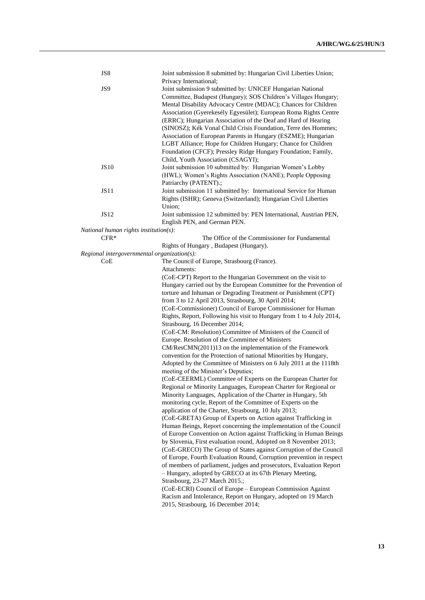| JS8                                         | Joint submission 8 submitted by: Hungarian Civil Liberties Union;     |
|---------------------------------------------|-----------------------------------------------------------------------|
|                                             | Privacy International;                                                |
| JS9                                         | Joint submission 9 submitted by: UNICEF Hungarian National            |
|                                             | Committee, Budapest (Hungary); SOS Children's Villages Hungary;       |
|                                             | Mental Disability Advocacy Centre (MDAC); Chances for Children        |
|                                             | Association (Gyerekesély Egyesület); European Roma Rights Centre      |
|                                             | (ERRC); Hungarian Association of the Deaf and Hard of Hearing         |
|                                             | (SINOSZ); Kék Vonal Child Crisis Foundation, Terre des Hommes;        |
|                                             | Association of European Parents in Hungary (ESZME); Hungarian         |
|                                             | LGBT Alliance; Hope for Children Hungary; Chance for Children         |
|                                             | Foundation (CFCF); Pressley Ridge Hungary Foundation; Family,         |
|                                             | Child, Youth Association (CSAGYI);                                    |
| <b>JS10</b>                                 | Joint submission 10 submitted by: Hungarian Women's Lobby             |
|                                             | (HWL); Women's Rights Association (NANE); People Opposing             |
|                                             | Patriarchy (PATENT).;                                                 |
| <b>JS11</b>                                 | Joint submission 11 submitted by: International Service for Human     |
|                                             | Rights (ISHR); Geneva (Switzerland); Hungarian Civil Liberties        |
|                                             | Union;                                                                |
| <b>JS12</b>                                 | Joint submission 12 submitted by: PEN International, Austrian PEN,    |
|                                             | English PEN, and German PEN.                                          |
| National human rights institution(s):       |                                                                       |
| $CFR*$                                      | The Office of the Commissioner for Fundamental                        |
| Regional intergovernmental organization(s): | Rights of Hungary, Budapest (Hungary).                                |
| CoE                                         |                                                                       |
|                                             | The Council of Europe, Strasbourg (France).<br>Attachments:           |
|                                             | (CoE-CPT) Report to the Hungarian Government on the visit to          |
|                                             | Hungary carried out by the European Committee for the Prevention of   |
|                                             | torture and Inhuman or Degrading Treatment or Punishment (CPT)        |
|                                             | from 3 to 12 April 2013, Strasbourg, 30 April 2014;                   |
|                                             | (CoE-Commissioner) Council of Europe Commissioner for Human           |
|                                             | Rights, Report, Following his visit to Hungary from 1 to 4 July 2014, |
|                                             | Strasbourg, 16 December 2014;                                         |
|                                             | (CoE-CM: Resolution) Committee of Ministers of the Council of         |
|                                             | Europe. Resolution of the Committee of Ministers                      |
|                                             | CM/ResCMN(2011)13 on the implementation of the Framework              |
|                                             | convention for the Protection of national Minorities by Hungary,      |
|                                             | Adopted by the Committee of Ministers on 6 July 2011 at the 1118th    |
|                                             | meeting of the Minister's Deputies;                                   |
|                                             | (CoE-CEERML) Committee of Experts on the European Charter for         |
|                                             | Regional or Minority Languages, European Charter for Regional or      |
|                                             | Minority Languages, Application of the Charter in Hungary, 5th        |
|                                             | monitoring cycle, Report of the Committee of Experts on the           |
|                                             | application of the Charter, Strasbourg, 10 July 2013;                 |
|                                             | (CoE-GRETA) Group of Experts on Action against Trafficking in         |
|                                             | Human Beings, Report concerning the implementation of the Council     |
|                                             | of Europe Convention on Action against Trafficking in Human Beings    |
|                                             | by Slovenia, First evaluation round, Adopted on 8 November 2013;      |
|                                             | (CoE-GRECO) The Group of States against Corruption of the Council     |
|                                             | of Europe, Fourth Evaluation Round, Corruption prevention in respect  |
|                                             | of members of parliament, judges and prosecutors, Evaluation Report   |
|                                             | - Hungary, adopted by GRECO at its 67th Plenary Meeting,              |
|                                             | Strasbourg, 23-27 March 2015.;                                        |
|                                             | (CoE-ECRI) Council of Europe - European Commission Against            |
|                                             | Racism and Intolerance, Report on Hungary, adopted on 19 March        |
|                                             | 2015, Strasbourg, 16 December 2014;                                   |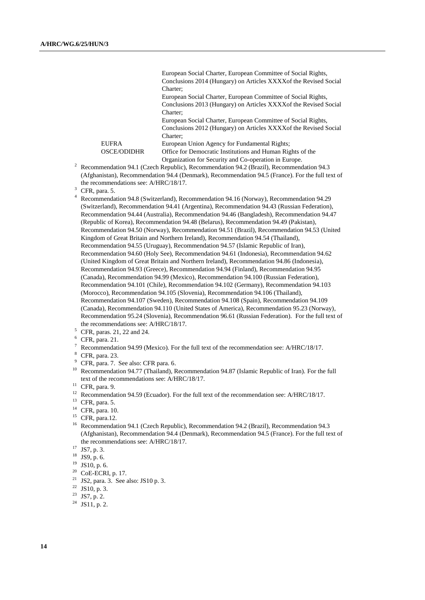European Social Charter, European Committee of Social Rights, Conclusions 2014 (Hungary) on Articles XXXXof the Revised Social Charter; European Social Charter, European Committee of Social Rights, Conclusions 2013 (Hungary) on Articles XXXXof the Revised Social Charter; European Social Charter, European Committee of Social Rights, Conclusions 2012 (Hungary) on Articles XXXXof the Revised Social Charter; EUFRA European Union Agency for Fundamental Rights; OSCE/ODIDHR Office for Democratic Institutions and Human Rights of the Organization for Security and Co-operation in Europe.

<sup>2</sup> Recommendation 94.1 (Czech Republic), Recommendation 94.2 (Brazil), Recommendation 94.3 (Afghanistan), Recommendation 94.4 (Denmark), Recommendation 94.5 (France). For the full text of the recommendations see: A/HRC/18/17.

<sup>4</sup> Recommendation 94.8 (Switzerland), Recommendation 94.16 (Norway), Recommendation 94.29 (Switzerland), Recommendation 94.41 (Argentina), Recommendation 94.43 (Russian Federation), Recommendation 94.44 (Australia), Recommendation 94.46 (Bangladesh), Recommendation 94.47 (Republic of Korea), Recommendation 94.48 (Belarus), Recommendation 94.49 (Pakistan), Recommendation 94.50 (Norway), Recommendation 94.51 (Brazil), Recommendation 94.53 (United Kingdom of Great Britain and Northern Ireland), Recommendation 94.54 (Thailand), Recommendation 94.55 (Uruguay), Recommendation 94.57 (Islamic Republic of Iran), Recommendation 94.60 (Holy See), Recommendation 94.61 (Indonesia), Recommendation 94.62 (United Kingdom of Great Britain and Northern Ireland), Recommendation 94.86 (Indonesia), Recommendation 94.93 (Greece), Recommendation 94.94 (Finland), Recommendation 94.95 (Canada), Recommendation 94.99 (Mexico), Recommendation 94.100 (Russian Federation), Recommendation 94.101 (Chile), Recommendation 94.102 (Germany), Recommendation 94.103 (Morocco), Recommendation 94.105 (Slovenia), Recommendation 94.106 (Thailand), Recommendation 94.107 (Sweden), Recommendation 94.108 (Spain), Recommendation 94.109 (Canada), Recommendation 94.110 (United States of America), Recommendation 95.23 (Norway), Recommendation 95.24 (Slovenia), Recommendation 96.61 (Russian Federation). For the full text of the recommendations see: A/HRC/18/17.

- <sup>5</sup> CFR, paras. 21, 22 and 24.
- $6$  CFR, para. 21.
- <sup>7</sup> Recommendation 94.99 (Mexico). For the full text of the recommendation see: A/HRC/18/17.
- <sup>8</sup> CFR, para. 23.
- <sup>9</sup> CFR, para. 7. See also: CFR para. 6.
- <sup>10</sup> Recommendation 94.77 (Thailand), Recommendation 94.87 (Islamic Republic of Iran). For the full text of the recommendations see: A/HRC/18/17.

- <sup>12</sup> Recommendation 94.59 (Ecuador). For the full text of the recommendation see: A/HRC/18/17.
- <sup>13</sup> CFR, para. 5.
- <sup>14</sup> CFR, para. 10.
- <sup>15</sup> CFR, para.12.
- <sup>16</sup> Recommendation 94.1 (Czech Republic), Recommendation 94.2 (Brazil), Recommendation 94.3 (Afghanistan), Recommendation 94.4 (Denmark), Recommendation 94.5 (France). For the full text of the recommendations see: A/HRC/18/17.
- <sup>17</sup> JS7, p. 3.
- $^{18}$  JS9, p. 6.<br> $^{19}$  JS10 p. 6
- $^{19}$  JS10, p. 6.<br><sup>20</sup> CoE ECPI
- CoE-ECRI, p. 17.
- <sup>21</sup> JS2, para. 3. See also: JS10 p. 3.
- <sup>22</sup> JS10, p. 3.
- <sup>23</sup> JS7, p. 2.
- <sup>24</sup> JS11, p. 2.

 $3$  CFR, para. 5.

<sup>11</sup> CFR, para. 9.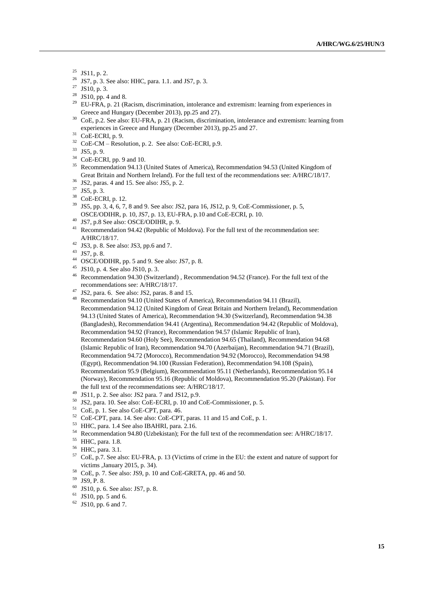- <sup>26</sup> JS7, p. 3. See also: HHC, para. 1.1. and JS7, p. 3.<br><sup>27</sup> JS10, p. <sup>2</sup>
- $^{27}$  JS10, p. 3.<br> $^{28}$  JS10 pp. 4
- <sup>28</sup> JS10, pp. 4 and 8.<br><sup>29</sup> ELLERA p. 21.0
- EU-FRA, p. 21 (Racism, discrimination, intolerance and extremism: learning from experiences in Greece and Hungary (December 2013), pp.25 and 27).
- <sup>30</sup> CoE, p.2. See also: EU-FRA, p. 21 (Racism, discrimination, intolerance and extremism: learning from experiences in Greece and Hungary (December 2013), pp.25 and 27.
- <sup>31</sup> CoE-ECRI, p. 9.
- $32$  CoE-CM Resolution, p. 2. See also: CoE-ECRI, p.9.
- <sup>33</sup> JS5, p. 9.
- <sup>34</sup> CoE-ECRI, pp. 9 and 10.
- <sup>35</sup> Recommendation 94.13 (United States of America), Recommendation 94.53 (United Kingdom of Great Britain and Northern Ireland). For the full text of the recommendations see: A/HRC/18/17.
- <sup>36</sup> JS2, paras. 4 and 15. See also: JS5, p. 2.
- <sup>37</sup> JS5, p. 3.
- <sup>38</sup> CoE-ECRI, p. 12.
- <sup>39</sup> JS5, pp. 3, 4, 6, 7, 8 and 9. See also: JS2, para 16, JS12, p. 9, CoE-Commissioner, p. 5, OSCE/ODIHR, p. 10, JS7, p. 13, EU-FRA, p.10 and CoE-ECRI, p. 10.
- <sup>40</sup> JS7, p.8 See also: OSCE/ODIHR, p. 9.
- <sup>41</sup> Recommendation 94.42 (Republic of Moldova). For the full text of the recommendation see: A/HRC/18/17.
- $42$  JS3, p. 8. See also: JS3, pp.6 and 7.
- <sup>43</sup> JS7, p. 8.
- <sup>44</sup> OSCE/ODIHR, pp. 5 and 9. See also: JS7, p. 8.
- <sup>45</sup> JS10, p. 4. See also JS10, p. 3.
- Recommendation 94.30 (Switzerland) , Recommendation 94.52 (France). For the full text of the recommendations see: A/HRC/18/17.
- <sup>47</sup> JS2, para. 6. See also: JS2, paras. 8 and 15.
- Recommendation 94.10 (United States of America), Recommendation 94.11 (Brazil), Recommendation 94.12 (United Kingdom of Great Britain and Northern Ireland), Recommendation 94.13 (United States of America), Recommendation 94.30 (Switzerland), Recommendation 94.38 (Bangladesh), Recommendation 94.41 (Argentina), Recommendation 94.42 (Republic of Moldova), Recommendation 94.92 (France), Recommendation 94.57 (Islamic Republic of Iran), Recommendation 94.60 (Holy See), Recommendation 94.65 (Thailand), Recommendation 94.68 (Islamic Republic of Iran), Recommendation 94.70 (Azerbaijan), Recommendation 94.71 (Brazil), Recommendation 94.72 (Morocco), Recommendation 94.92 (Morocco), Recommendation 94.98 (Egypt), Recommendation 94.100 (Russian Federation), Recommendation 94.108 (Spain), Recommendation 95.9 (Belgium), Recommendation 95.11 (Netherlands), Recommendation 95.14 (Norway), Recommendation 95.16 (Republic of Moldova), Recommendation 95.20 (Pakistan). For the full text of the recommendations see: A/HRC/18/17.
- $^{49}$  JS11, p. 2. See also: JS2 para. 7 and JS12, p.9.
- <sup>50</sup> JS2, para. 10. See also: CoE-ECRI, p. 10 and CoE-Commissioner, p. 5.
- <sup>51</sup> CoE, p. 1. See also CoE-CPT, para. 46.
- <sup>52</sup> CoE-CPT, para. 14. See also: CoE-CPT, paras. 11 and 15 and CoE, p. 1.
- <sup>53</sup> HHC, para. 1.4 See also IBAHRI, para. 2.16.
- <sup>54</sup> Recommendation 94.80 (Uzbekistan); For the full text of the recommendation see: A/HRC/18/17.
- <sup>55</sup> HHC, para. 1.8.
- <sup>56</sup> HHC, para. 3.1.
- <sup>57</sup> CoE, p.7. See also: EU-FRA, p. 13 (Victims of crime in the EU: the extent and nature of support for victims ,January 2015, p. 34).
- <sup>58</sup> CoE, p. 7. See also: JS9, p. 10 and CoE-GRETA, pp. 46 and 50.<br><sup>59</sup> JS9 P 8
- $^{59}$  JS9, P. 8.<br> $^{60}$  JS10 p. 6
- $^{60}$  JS10, p. 6. See also: JS7, p. 8.<br> $^{61}$  JS10, pp. 5 and 6.
- JS10, pp. 5 and 6.
- $62$  JS10, pp. 6 and 7.

<sup>&</sup>lt;sup>25</sup> JS11, p. 2.<br><sup>26</sup> JS7 p. 3. S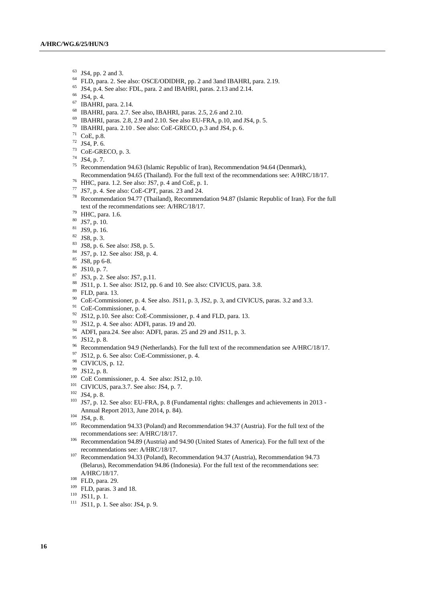- $^{63}$  JS4, pp. 2 and 3.
- FLD, para. 2. See also: OSCE/ODIDHR, pp. 2 and 3and IBAHRI, para. 2.19.
- JS4, p.4. See also: FDL, para. 2 and IBAHRI, paras. 2.13 and 2.14.
- JS4, p. 4.
- IBAHRI, para. 2.14.
- IBAHRI, para. 2.7. See also, IBAHRI, paras. 2.5, 2.6 and 2.10.
- IBAHRI, paras. 2.8, 2.9 and 2.10. See also EU-FRA, p.10, and JS4, p. 5.
- IBAHRI, para. 2.10 . See also: CoE-GRECO, p.3 and JS4, p. 6.
- CoE, p.8.
- JS4, P. 6.
- CoE-GRECO, p. 3.
- JS4, p. 7.
- Recommendation 94.63 (Islamic Republic of Iran), Recommendation 94.64 (Denmark),
- Recommendation 94.65 (Thailand). For the full text of the recommendations see: A/HRC/18/17.
- HHC, para. 1.2. See also: JS7, p. 4 and CoE, p. 1.
- JS7, p. 4. See also: CoE-CPT, paras. 23 and 24.
- Recommendation 94.77 (Thailand), Recommendation 94.87 (Islamic Republic of Iran). For the full text of the recommendations see: A/HRC/18/17.
- HHC, para. 1.6.
- JS7, p. 10.
- JS9, p. 16.
- JS8, p. 3.
- JS8, p. 6. See also: JS8, p. 5.
- JS7, p. 12. See also: JS8, p. 4.
- JS8, pp 6-8.
- JS10, p. 7.
- JS3, p. 2. See also: JS7, p.11.
- <sup>88</sup> JS11, p. 1. See also: JS12, pp. 6 and 10. See also: CIVICUS, para. 3.8.
- $\frac{89}{90}$  FLD, para. 13.
- CoE-Commissioner, p. 4. See also. JS11, p. 3, JS2, p. 3, and CIVICUS, paras. 3.2 and 3.3.
- CoE-Commissioner, p. 4.
- <sup>92</sup> JS12, p.10. See also: CoE-Commissioner, p. 4 and FLD, para. 13.
- JS12, p. 4. See also: ADFI, paras. 19 and 20.
- ADFI, para.24. See also: ADFI, paras. 25 and 29 and JS11, p. 3.
- JS12, p. 8.
- <sup>96</sup> Recommendation 94.9 (Netherlands). For the full text of the recommendation see A/HRC/18/17.
- JS12, p. 6. See also: CoE-Commissioner, p. 4.
- CIVICUS, p. 12.
- JS12, p. 8.
- CoE Commissioner, p. 4. See also: JS12, p.10.
- <sup>101</sup> CIVICUS, para.3.7. See also: JS4, p. 7.
- JS4, p. 8.
- <sup>103</sup> JS7, p. 12. See also: EU-FRA, p. 8 (Fundamental rights: challenges and achievements in 2013 -Annual Report 2013, June 2014, p. 84).
- JS4, p. 8.
- <sup>105</sup> Recommendation 94.33 (Poland) and Recommendation 94.37 (Austria). For the full text of the recommendations see: A/HRC/18/17.
- Recommendation 94.89 (Austria) and 94.90 (United States of America). For the full text of the recommendations see: A/HRC/18/17.
- <sup>107</sup> Recommendation 94.33 (Poland), Recommendation 94.37 (Austria), Recommendation 94.73 (Belarus), Recommendation 94.86 (Indonesia). For the full text of the recommendations see: A/HRC/18/17.
- FLD, para. 29.
- FLD, paras. 3 and 18.
- JS11, p. 1.
- JS11, p. 1. See also: JS4, p. 9.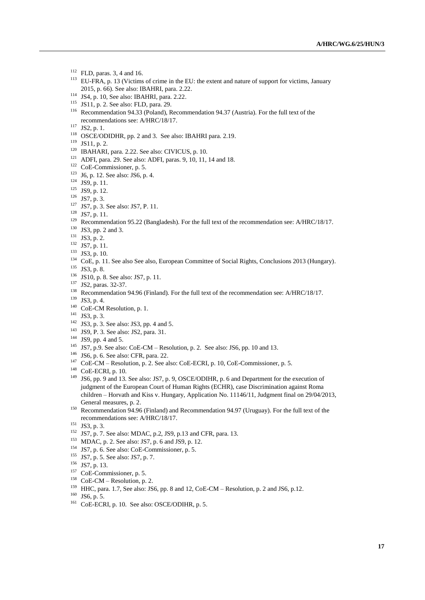- FLD, paras. 3, 4 and 16.
- EU-FRA, p. 13 (Victims of crime in the EU: the extent and nature of support for victims, January 2015, p. 66). See also: IBAHRI, para. 2.22.
- JS4, p. 10, See also: IBAHRI, para. 2.22.
- JS11, p. 2. See also: FLD, para. 29.
- <sup>116</sup> Recommendation 94.33 (Poland), Recommendation 94.37 (Austria). For the full text of the recommendations see: A/HRC/18/17.
- JS2, p. 1.
- OSCE/ODIDHR, pp. 2 and 3. See also: IBAHRI para. 2.19.
- JS11, p. 2.
- IBAHARI, para. 2.22. See also: CIVICUS, p. 10.
- ADFI, para. 29. See also: ADFI, paras. 9, 10, 11, 14 and 18.
- CoE-Commissioner, p. 5.
- J6, p. 12. See also: JS6, p. 4.
- JS9, p. 11.
- JS9, p. 12.
- JS7, p. 3.
- JS7, p. 3. See also: JS7, P. 11.
- JS7, p. 11.
- <sup>129</sup> Recommendation 95.22 (Bangladesh). For the full text of the recommendation see: A/HRC/18/17.
- JS3, pp. 2 and 3.
- <sup>131</sup> JS3, p. 2.
- JS7, p. 11.
- <sup>133</sup> JS3, p. 10.
- <sup>134</sup> CoE, p. 11. See also See also, European Committee of Social Rights, Conclusions 2013 (Hungary).
- JS3, p. 8.
- JS10, p. 8. See also: JS7, p. 11.
- JS2, paras. 32-37.
- <sup>138</sup> Recommendation 94.96 (Finland). For the full text of the recommendation see: A/HRC/18/17.
- JS3, p. 4.
- <sup>140</sup> CoE-CM Resolution, p. 1.
- JS3, p. 3.
- JS3, p. 3. See also: JS3, pp. 4 and 5.
- JS9, P. 3. See also: JS2, para. 31.
- <sup>144</sup> JS9, pp. 4 and 5.
- <sup>145</sup> JS7, p.9. See also: CoE-CM Resolution, p. 2. See also: JS6, pp. 10 and 13.
- JS6, p. 6. See also: CFR, para. 22.
- CoE-CM Resolution, p. 2. See also: CoE-ECRI, p. 10, CoE-Commissioner, p. 5.
- CoE-ECRI, p. 10.
- JS6, pp. 9 and 13. See also: JS7, p. 9, OSCE/ODIHR, p. 6 and Department for the execution of judgment of the European Court of Human Rights (ECHR), case Discrimination against Roma children – Horvath and Kiss v. Hungary, Application No. 11146/11, Judgment final on 29/04/2013, General measures, p. 2.
- <sup>150</sup> Recommendation 94.96 (Finland) and Recommendation 94.97 (Uruguay). For the full text of the recommendations see: A/HRC/18/17.
- JS3, p. 3.
- JS7, p. 7. See also: MDAC, p.2, JS9, p.13 and CFR, para. 13.
- MDAC, p. 2. See also: JS7, p. 6 and JS9, p. 12.
- JS7, p. 6. See also: CoE-Commissioner, p. 5.
- <sup>155</sup> JS7, p. 5. See also: JS7, p. 7.
- JS7, p. 13.
- <sup>157</sup> CoE-Commissioner, p. 5.
- CoE-CM Resolution, p. 2.
- <sup>159</sup> HHC, para. 1.7, See also: JS6, pp. 8 and 12, CoE-CM Resolution, p. 2 and JS6, p.12.
- JS6, p. 5.
- <sup>161</sup> CoE-ECRI, p. 10. See also: OSCE/ODIHR, p. 5.